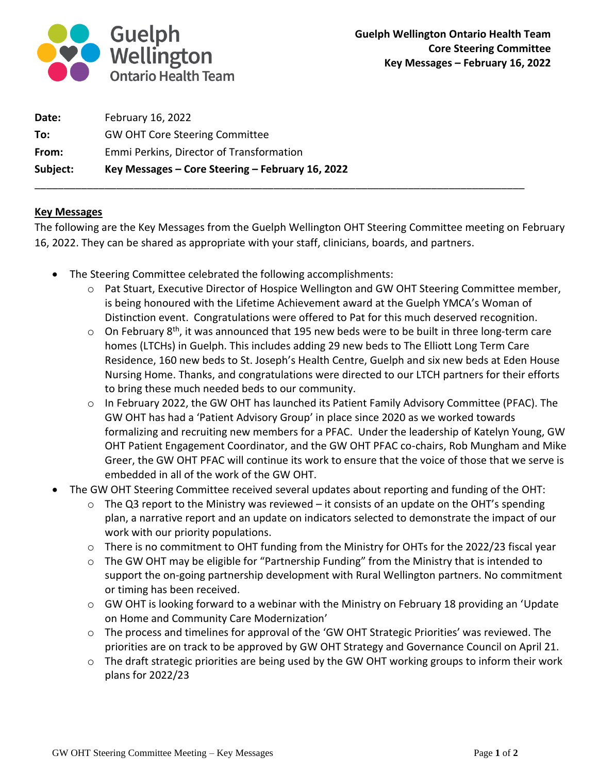

| Subject: | Key Messages – Core Steering – February 16, 2022 |
|----------|--------------------------------------------------|
| From:    | Emmi Perkins, Director of Transformation         |
| To:      | <b>GW OHT Core Steering Committee</b>            |
| Date:    | February 16, 2022                                |

## **Key Messages**

The following are the Key Messages from the Guelph Wellington OHT Steering Committee meeting on February 16, 2022. They can be shared as appropriate with your staff, clinicians, boards, and partners.

\_\_\_\_\_\_\_\_\_\_\_\_\_\_\_\_\_\_\_\_\_\_\_\_\_\_\_\_\_\_\_\_\_\_\_\_\_\_\_\_\_\_\_\_\_\_\_\_\_\_\_\_\_\_\_\_\_\_\_\_\_\_\_\_\_\_\_\_\_\_\_\_\_\_\_\_\_\_\_\_\_\_\_\_

- The Steering Committee celebrated the following accomplishments:
	- o Pat Stuart, Executive Director of Hospice Wellington and GW OHT Steering Committee member, is being honoured with the Lifetime Achievement award at the Guelph YMCA's Woman of Distinction event. Congratulations were offered to Pat for this much deserved recognition.
	- $\circ$  On February 8<sup>th</sup>, it was announced that 195 new beds were to be built in three long-term care homes (LTCHs) in Guelph. This includes adding 29 new beds to The Elliott Long Term Care Residence, 160 new beds to St. Joseph's Health Centre, Guelph and six new beds at Eden House Nursing Home. Thanks, and congratulations were directed to our LTCH partners for their efforts to bring these much needed beds to our community.
	- $\circ$  In February 2022, the GW OHT has launched its Patient Family Advisory Committee (PFAC). The GW OHT has had a 'Patient Advisory Group' in place since 2020 as we worked towards formalizing and recruiting new members for a PFAC. Under the leadership of Katelyn Young, GW OHT Patient Engagement Coordinator, and the GW OHT PFAC co-chairs, Rob Mungham and Mike Greer, the GW OHT PFAC will continue its work to ensure that the voice of those that we serve is embedded in all of the work of the GW OHT.
- The GW OHT Steering Committee received several updates about reporting and funding of the OHT:
	- $\circ$  The Q3 report to the Ministry was reviewed it consists of an update on the OHT's spending plan, a narrative report and an update on indicators selected to demonstrate the impact of our work with our priority populations.
	- o There is no commitment to OHT funding from the Ministry for OHTs for the 2022/23 fiscal year
	- o The GW OHT may be eligible for "Partnership Funding" from the Ministry that is intended to support the on-going partnership development with Rural Wellington partners. No commitment or timing has been received.
	- $\circ$  GW OHT is looking forward to a webinar with the Ministry on February 18 providing an 'Update on Home and Community Care Modernization'
	- $\circ$  The process and timelines for approval of the 'GW OHT Strategic Priorities' was reviewed. The priorities are on track to be approved by GW OHT Strategy and Governance Council on April 21.
	- o The draft strategic priorities are being used by the GW OHT working groups to inform their work plans for 2022/23